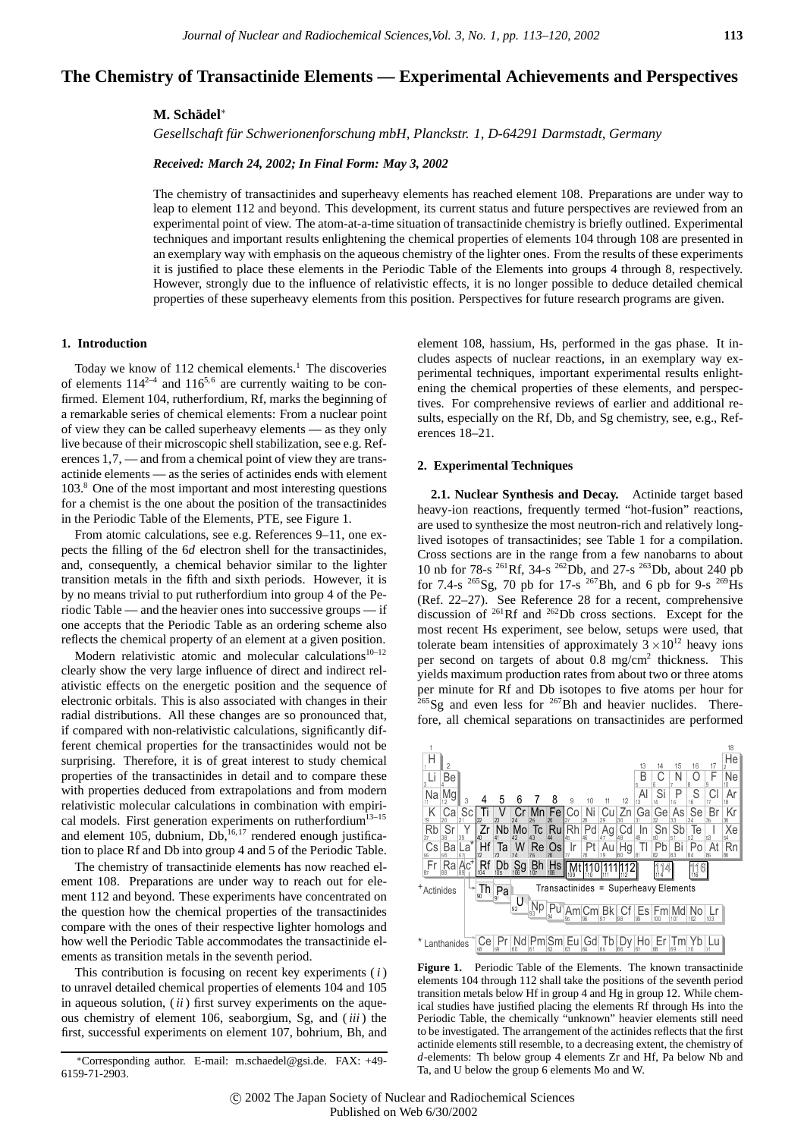# **The Chemistry of Transactinide Elements — Experimental Achievements and Perspectives**

## **M. Schadel ¨** <sup>∗</sup>

*Gesellschaft fur Schwerionenforschung mbH, Planckstr. 1, D-64291 Darmstadt, Germany ¨*

*Received: March 24, 2002; In Final Form: May 3, 2002*

The chemistry of transactinides and superheavy elements has reached element 108. Preparations are under way to leap to element 112 and beyond. This development, its current status and future perspectives are reviewed from an experimental point of view. The atom-at-a-time situation of transactinide chemistry is briefly outlined. Experimental techniques and important results enlightening the chemical properties of elements 104 through 108 are presented in an exemplary way with emphasis on the aqueous chemistry of the lighter ones. From the results of these experiments it is justified to place these elements in the Periodic Table of the Elements into groups 4 through 8, respectively. However, strongly due to the influence of relativistic effects, it is no longer possible to deduce detailed chemical properties of these superheavy elements from this position. Perspectives for future research programs are given.

#### **1. Introduction**

Today we know of  $112$  chemical elements.<sup>1</sup> The discoveries of elements  $114^{2-4}$  and  $116^{5,6}$  are currently waiting to be confirmed. Element 104, rutherfordium, Rf, marks the beginning of a remarkable series of chemical elements: From a nuclear point of view they can be called superheavy elements — as they only live because of their microscopic shell stabilization, see e.g. References 1,7, — and from a chemical point of view they are transactinide elements — as the series of actinides ends with element 103.<sup>8</sup> One of the most important and most interesting questions for a chemist is the one about the position of the transactinides in the Periodic Table of the Elements, PTE, see Figure 1.

From atomic calculations, see e.g. References 9–11, one expects the filling of the 6*d* electron shell for the transactinides, and, consequently, a chemical behavior similar to the lighter transition metals in the fifth and sixth periods. However, it is by no means trivial to put rutherfordium into group 4 of the Periodic Table — and the heavier ones into successive groups — if one accepts that the Periodic Table as an ordering scheme also reflects the chemical property of an element at a given position.

Modern relativistic atomic and molecular calculations $10-12$ clearly show the very large influence of direct and indirect relativistic effects on the energetic position and the sequence of electronic orbitals. This is also associated with changes in their radial distributions. All these changes are so pronounced that, if compared with non-relativistic calculations, significantly different chemical properties for the transactinides would not be surprising. Therefore, it is of great interest to study chemical properties of the transactinides in detail and to compare these with properties deduced from extrapolations and from modern relativistic molecular calculations in combination with empirical models. First generation experiments on rutherfordium<sup>13-15</sup> and element 105, dubnium,  $Db<sub>16,17</sub>$  rendered enough justification to place Rf and Db into group 4 and 5 of the Periodic Table.

The chemistry of transactinide elements has now reached element 108. Preparations are under way to reach out for element 112 and beyond. These experiments have concentrated on the question how the chemical properties of the transactinides compare with the ones of their respective lighter homologs and how well the Periodic Table accommodates the transactinide elements as transition metals in the seventh period.

This contribution is focusing on recent key experiments (*i* ) to unravel detailed chemical properties of elements 104 and 105 in aqueous solution, (*ii* ) first survey experiments on the aqueous chemistry of element 106, seaborgium, Sg, and (*iii* ) the first, successful experiments on element 107, bohrium, Bh, and element 108, hassium, Hs, performed in the gas phase. It includes aspects of nuclear reactions, in an exemplary way experimental techniques, important experimental results enlightening the chemical properties of these elements, and perspectives. For comprehensive reviews of earlier and additional results, especially on the Rf, Db, and Sg chemistry, see, e.g., References 18–21.

#### **2. Experimental Techniques**

**2.1. Nuclear Synthesis and Decay.** Actinide target based heavy-ion reactions, frequently termed "hot-fusion" reactions, are used to synthesize the most neutron-rich and relatively longlived isotopes of transactinides; see Table 1 for a compilation. Cross sections are in the range from a few nanobarns to about 10 nb for 78-s 261Rf, 34-s 262Db, and 27-s 263Db, about 240 pb for 7.4-s <sup>265</sup>Sg, 70 pb for 17-s <sup>267</sup>Bh, and 6 pb for 9-s <sup>269</sup>Hs (Ref. 22–27). See Reference 28 for a recent, comprehensive discussion of  $^{261}$ Rf and  $^{262}$ Db cross sections. Except for the most recent Hs experiment, see below, setups were used, that tolerate beam intensities of approximately  $3 \times 10^{12}$  heavy ions per second on targets of about 0.8 mg/cm<sup>2</sup> thickness. This yields maximum production rates from about two or three atoms per minute for Rf and Db isotopes to five atoms per hour for  $^{265}$ Sg and even less for  $^{267}$ Bh and heavier nuclides. Therefore, all chemical separations on transactinides are performed



Figure 1. Periodic Table of the Elements. The known transactinide elements 104 through 112 shall take the positions of the seventh period transition metals below Hf in group 4 and Hg in group 12. While chemical studies have justified placing the elements Rf through Hs into the Periodic Table, the chemically "unknown" heavier elements still need to be investigated. The arrangement of the actinides reflects that the first actinide elements still resemble, to a decreasing extent, the chemistry of *d*-elements: Th below group 4 elements Zr and Hf, Pa below Nb and Ta, and U below the group 6 elements Mo and W.

<sup>∗</sup>Corresponding author. E-mail: m.schaedel@gsi.de. FAX: +49- 6159-71-2903.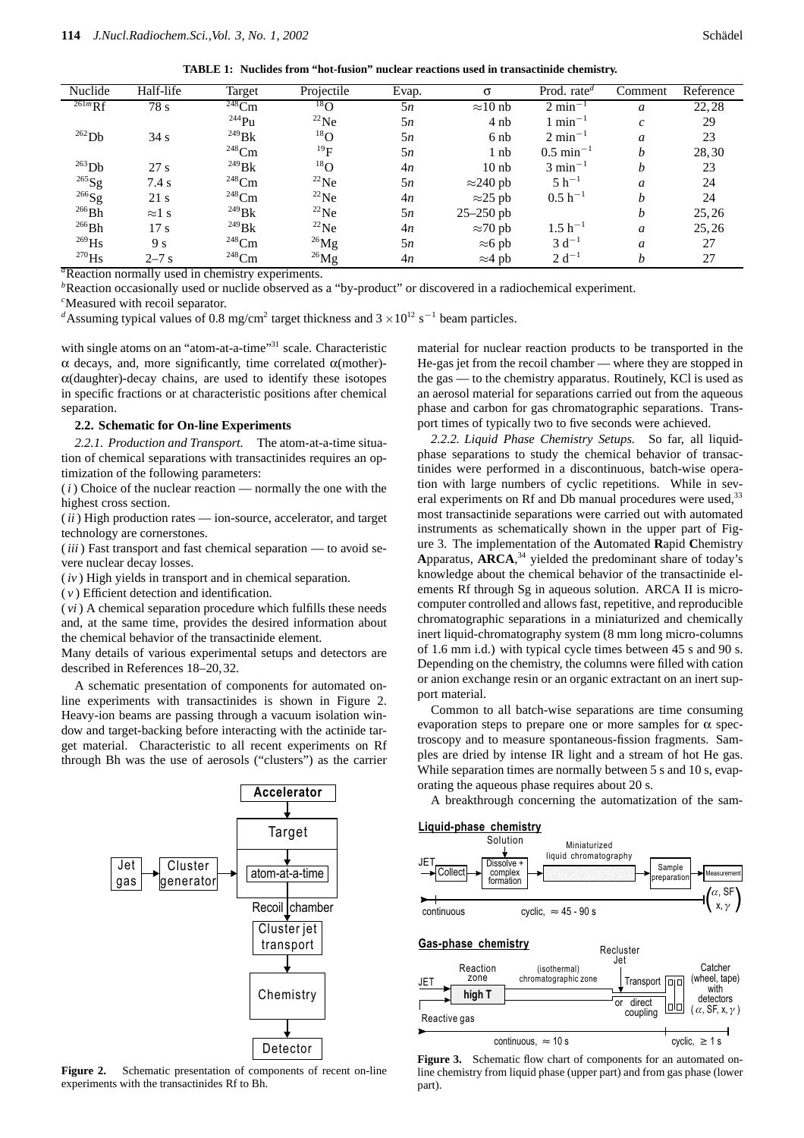|  | Scha |
|--|------|
|  |      |

| Nuclide             | Half-life                                                    | Target              | Projectile | Evap. | $\sigma$         | Prod. rate $d$         | Comment          | Reference |
|---------------------|--------------------------------------------------------------|---------------------|------------|-------|------------------|------------------------|------------------|-----------|
| $261m$ Rf           | 78 s                                                         | $248$ Cm            | $^{18}$ O  | 5n    | $\approx$ 10 nb  | $2 \text{ min}^{-1}$   | a                | 22,28     |
|                     |                                                              | $244$ Pu            | $^{22}$ Ne | 5n    | 4 nb             | $1 \text{ min}^{-1}$   | $\boldsymbol{c}$ | 29        |
| $^{262}{\rm Db}$    | 34 s                                                         | $^{249}$ BK         | $^{18}$ O  | 5n    | 6 <sub>nb</sub>  | $2 \text{ min}^{-1}$   | a                | 23        |
|                     |                                                              | $248$ Cm            | $^{19}F$   | 5n    | 1 <sub>nb</sub>  | $0.5 \text{ min}^{-1}$ | b                | 28,30     |
| $^{263}\mathrm{Db}$ | 27s                                                          | $^{249}\mathrm{Bk}$ | $^{18}$ O  | 4n    | 10 <sub>nb</sub> | $3 \text{ min}^{-1}$   | b                | 23        |
| $^{265}$ Sg         | 7.4 s                                                        | $^{248}\mathrm{Cm}$ | $^{22}$ Ne | 5n    | $\approx$ 240 pb | $5 h^{-1}$             | a                | 24        |
| $266$ $Sg$          | 21 s                                                         | $248$ Cm            | $^{22}$ Ne | 4n    | $\approx$ 25 pb  | $0.5 h^{-1}$           | $\boldsymbol{b}$ | 24        |
| $^{266}\mbox{Bh}$   | $\approx 1$ s                                                | $^{249}$ BK         | $^{22}$ Ne | 5n    | $25 - 250$ pb    |                        | b                | 25,26     |
| $^{266}\mbox{Bh}$   | 17 <sub>s</sub>                                              | $^{249}\mathrm{Bk}$ | $^{22}$ Ne | 4n    | $\approx 70$ pb  | $1.5 h^{-1}$           | a                | 25,26     |
| $^{269}\mathrm{Hs}$ | 9 <sub>s</sub>                                               | $248$ Cm            | $^{26}Mg$  | 5n    | $\approx$ 6 pb   | $3 d^{-1}$             | a                | 27        |
| $^{270}\mathrm{Hs}$ | $2-7s$                                                       | $^{248}$ Cm $\,$    | $^{26}Mg$  | 4n    | $\approx$ 4 pb   | $2 d^{-1}$             | b                | 27        |
|                     | <sup>a</sup> Peaction normally used in chamistry experiments |                     |            |       |                  |                        |                  |           |

Reaction normally used in chemistry experiments.

*b* Reaction occasionally used or nuclide observed as a "by-product" or discovered in a radiochemical experiment.

*c* Measured with recoil separator.

<sup>*d*</sup>Assuming typical values of 0.8 mg/cm<sup>2</sup> target thickness and  $3 \times 10^{12}$  s<sup>-1</sup> beam particles.

with single atoms on an "atom-at-a-time"<sup>31</sup> scale. Characteristic α decays, and, more significantly, time correlated α(mother)-  $\alpha$ (daughter)-decay chains, are used to identify these isotopes in specific fractions or at characteristic positions after chemical separation.

### **2.2. Schematic for On-line Experiments**

*2.2.1. Production and Transport.* The atom-at-a-time situation of chemical separations with transactinides requires an optimization of the following parameters:

(*i*) Choice of the nuclear reaction — normally the one with the highest cross section.

(*ii* ) High production rates — ion-source, accelerator, and target technology are cornerstones.

(*iii* ) Fast transport and fast chemical separation — to avoid severe nuclear decay losses.

(*iv* ) High yields in transport and in chemical separation.

( *v* ) Efficient detection and identification.

( *vi*) A chemical separation procedure which fulfills these needs and, at the same time, provides the desired information about the chemical behavior of the transactinide element.

Many details of various experimental setups and detectors are described in References 18–20,32.

A schematic presentation of components for automated online experiments with transactinides is shown in Figure 2. Heavy-ion beams are passing through a vacuum isolation window and target-backing before interacting with the actinide target material. Characteristic to all recent experiments on Rf through Bh was the use of aerosols ("clusters") as the carrier



**Figure 2.** Schematic presentation of components of recent on-line experiments with the transactinides Rf to Bh.

material for nuclear reaction products to be transported in the He-gas jet from the recoil chamber — where they are stopped in the gas — to the chemistry apparatus. Routinely, KCl is used as an aerosol material for separations carried out from the aqueous phase and carbon for gas chromatographic separations. Transport times of typically two to five seconds were achieved.

*2.2.2. Liquid Phase Chemistry Setups.* So far, all liquidphase separations to study the chemical behavior of transactinides were performed in a discontinuous, batch-wise operation with large numbers of cyclic repetitions. While in several experiments on Rf and Db manual procedures were used,<sup>33</sup> most transactinide separations were carried out with automated instruments as schematically shown in the upper part of Figure 3. The implementation of the **A**utomated **R**apid **C**hemistry **A**pparatus, **ARCA**, <sup>34</sup> yielded the predominant share of today's knowledge about the chemical behavior of the transactinide elements Rf through Sg in aqueous solution. ARCA II is microcomputer controlled and allows fast, repetitive, and reproducible chromatographic separations in a miniaturized and chemically inert liquid-chromatography system (8 mm long micro-columns of 1.6 mm i.d.) with typical cycle times between 45 s and 90 s. Depending on the chemistry, the columns were filled with cation or anion exchange resin or an organic extractant on an inert support material.

Common to all batch-wise separations are time consuming evaporation steps to prepare one or more samples for  $\alpha$  spectroscopy and to measure spontaneous-fission fragments. Samples are dried by intense IR light and a stream of hot He gas. While separation times are normally between 5 s and 10 s, evaporating the aqueous phase requires about 20 s.

A breakthrough concerning the automatization of the sam-

## **Liquid-phase chemistry**



#### **Gas-phase chemistry**



Figure 3. Schematic flow chart of components for an automated online chemistry from liquid phase (upper part) and from gas phase (lower part).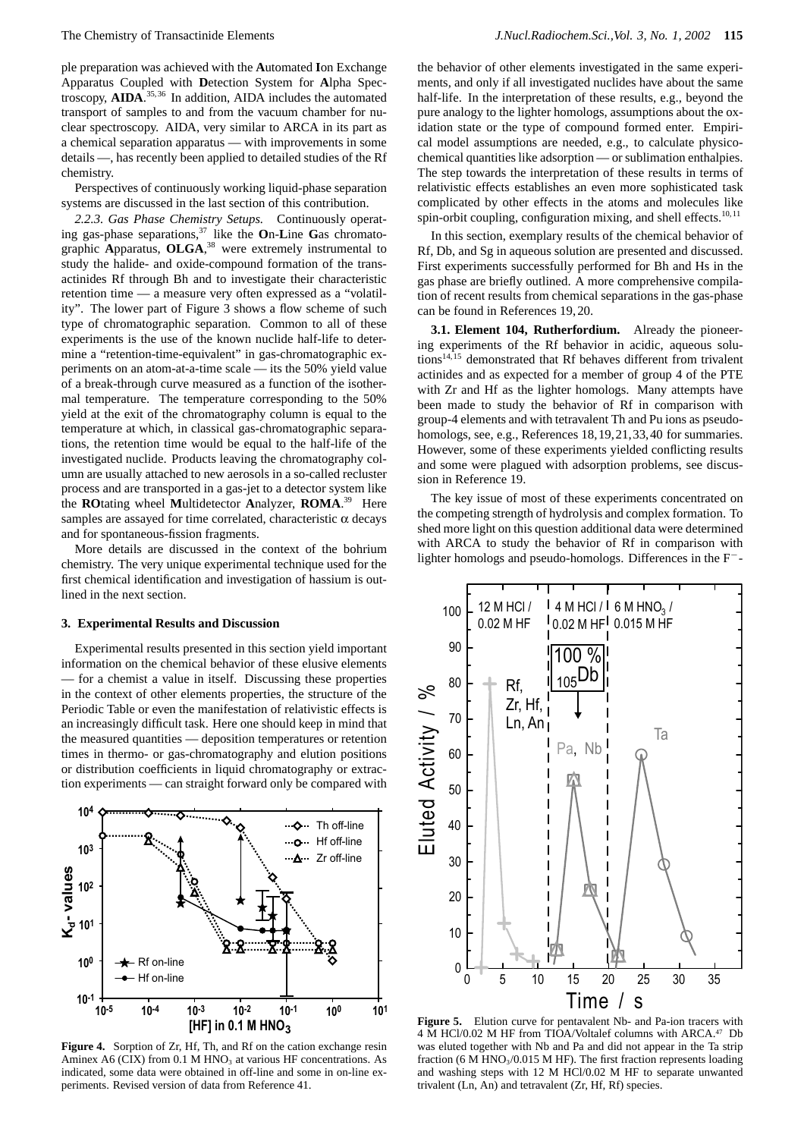ple preparation was achieved with the **A**utomated **I**on Exchange Apparatus Coupled with **D**etection System for **A**lpha Spectroscopy, **AIDA**. 35,36 In addition, AIDA includes the automated transport of samples to and from the vacuum chamber for nuclear spectroscopy. AIDA, very similar to ARCA in its part as a chemical separation apparatus — with improvements in some details —, has recently been applied to detailed studies of the Rf chemistry.

Perspectives of continuously working liquid-phase separation systems are discussed in the last section of this contribution.

*2.2.3. Gas Phase Chemistry Setups.* Continuously operating gas-phase separations,37 like the **O**n-**L**ine **G**as chromatographic **A**pparatus, **OLGA**, <sup>38</sup> were extremely instrumental to study the halide- and oxide-compound formation of the transactinides Rf through Bh and to investigate their characteristic retention time — a measure very often expressed as a "volatility". The lower part of Figure 3 shows a flow scheme of such type of chromatographic separation. Common to all of these experiments is the use of the known nuclide half-life to determine a "retention-time-equivalent" in gas-chromatographic experiments on an atom-at-a-time scale — its the 50% yield value of a break-through curve measured as a function of the isothermal temperature. The temperature corresponding to the 50% yield at the exit of the chromatography column is equal to the temperature at which, in classical gas-chromatographic separations, the retention time would be equal to the half-life of the investigated nuclide. Products leaving the chromatography column are usually attached to new aerosols in a so-called recluster process and are transported in a gas-jet to a detector system like the **RO**tating wheel **M**ultidetector **A**nalyzer, **ROMA**. <sup>39</sup> Here samples are assayed for time correlated, characteristic  $\alpha$  decays and for spontaneous-fission fragments.

More details are discussed in the context of the bohrium chemistry. The very unique experimental technique used for the first chemical identification and investigation of hassium is outlined in the next section.

#### **3. Experimental Results and Discussion**

Experimental results presented in this section yield important information on the chemical behavior of these elusive elements — for a chemist a value in itself. Discussing these properties in the context of other elements properties, the structure of the Periodic Table or even the manifestation of relativistic effects is an increasingly difficult task. Here one should keep in mind that the measured quantities — deposition temperatures or retention times in thermo- or gas-chromatography and elution positions or distribution coefficients in liquid chromatography or extraction experiments — can straight forward only be compared with



**Figure 4.** Sorption of Zr, Hf, Th, and Rf on the cation exchange resin Aminex A6 (CIX) from  $0.1$  M HNO<sub>3</sub> at various HF concentrations. As indicated, some data were obtained in off-line and some in on-line experiments. Revised version of data from Reference 41.

the behavior of other elements investigated in the same experiments, and only if all investigated nuclides have about the same half-life. In the interpretation of these results, e.g., beyond the pure analogy to the lighter homologs, assumptions about the oxidation state or the type of compound formed enter. Empirical model assumptions are needed, e.g., to calculate physicochemical quantities like adsorption — or sublimation enthalpies. The step towards the interpretation of these results in terms of relativistic effects establishes an even more sophisticated task complicated by other effects in the atoms and molecules like spin-orbit coupling, configuration mixing, and shell effects.<sup>10,11</sup>

In this section, exemplary results of the chemical behavior of Rf, Db, and Sg in aqueous solution are presented and discussed. First experiments successfully performed for Bh and Hs in the gas phase are briefly outlined. A more comprehensive compilation of recent results from chemical separations in the gas-phase can be found in References 19,20.

**3.1. Element 104, Rutherfordium.** Already the pioneering experiments of the Rf behavior in acidic, aqueous solutions<sup>14,15</sup> demonstrated that Rf behaves different from trivalent actinides and as expected for a member of group 4 of the PTE with Zr and Hf as the lighter homologs. Many attempts have been made to study the behavior of Rf in comparison with group-4 elements and with tetravalent Th and Pu ions as pseudohomologs, see, e.g., References 18, 19, 21, 33, 40 for summaries. However, some of these experiments yielded conflicting results and some were plagued with adsorption problems, see discussion in Reference 19.

The key issue of most of these experiments concentrated on the competing strength of hydrolysis and complex formation. To shed more light on this question additional data were determined with ARCA to study the behavior of Rf in comparison with lighter homologs and pseudo-homologs. Differences in the F−-



**Figure 5.** Elution curve for pentavalent Nb- and Pa-ion tracers with 4 M HCl/0.02 M HF from TIOA/Voltalef columns with ARCA.<sup>47</sup> Db was eluted together with Nb and Pa and did not appear in the Ta strip fraction (6 M HNO<sub>3</sub>/0.015 M HF). The first fraction represents loading and washing steps with 12 M HCl/0.02 M HF to separate unwanted trivalent (Ln, An) and tetravalent (Zr, Hf, Rf) species.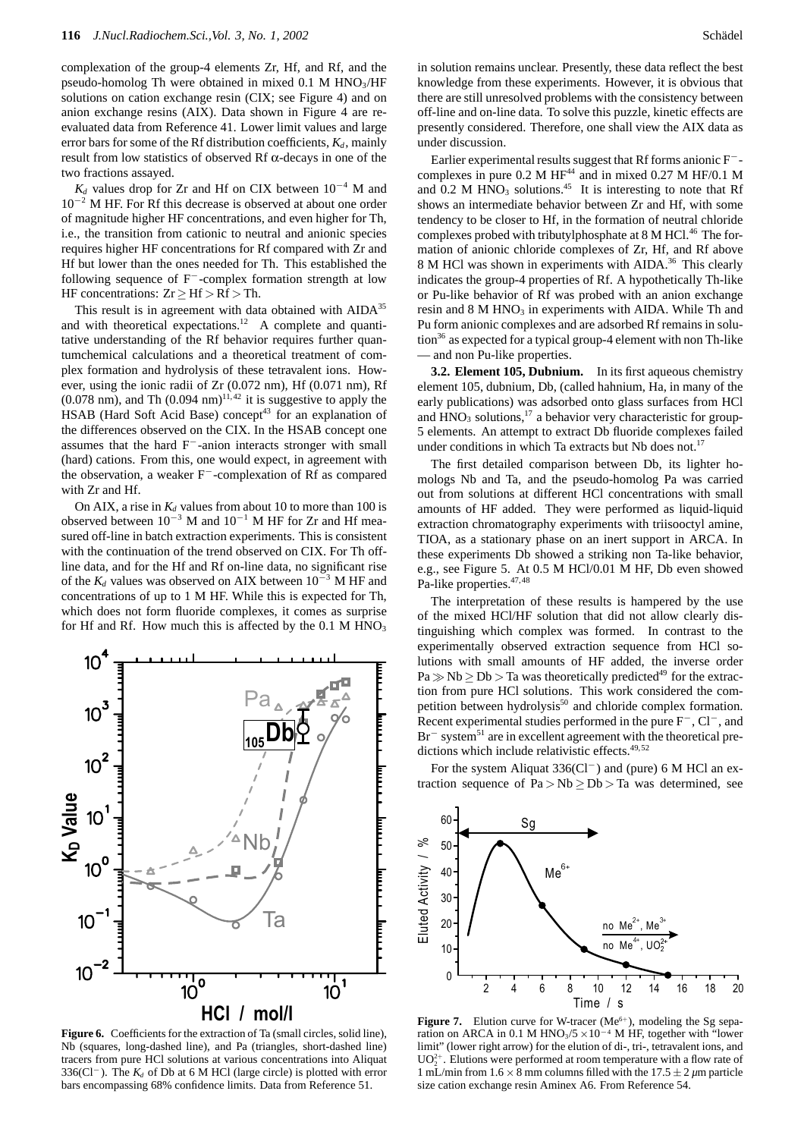complexation of the group-4 elements Zr, Hf, and Rf, and the pseudo-homolog Th were obtained in mixed 0.1 M HNO<sub>3</sub>/HF solutions on cation exchange resin (CIX; see Figure 4) and on anion exchange resins (AIX). Data shown in Figure 4 are reevaluated data from Reference 41. Lower limit values and large error bars for some of the Rf distribution coefficients,  $K_d$ , mainly result from low statistics of observed Rf α-decays in one of the two fractions assayed.

 $K_d$  values drop for Zr and Hf on CIX between  $10^{-4}$  M and 10−<sup>2</sup> M HF. For Rf this decrease is observed at about one order of magnitude higher HF concentrations, and even higher for Th, i.e., the transition from cationic to neutral and anionic species requires higher HF concentrations for Rf compared with Zr and Hf but lower than the ones needed for Th. This established the following sequence of F−-complex formation strength at low HF concentrations: Zr ≥ Hf *>* Rf *>* Th.

This result is in agreement with data obtained with  $AIDA<sup>35</sup>$ and with theoretical expectations.<sup>12</sup> A complete and quantitative understanding of the Rf behavior requires further quantumchemical calculations and a theoretical treatment of complex formation and hydrolysis of these tetravalent ions. However, using the ionic radii of Zr (0.072 nm), Hf (0.071 nm), Rf  $(0.078 \text{ nm})$ , and Th  $(0.094 \text{ nm})^{11,42}$  it is suggestive to apply the  $HSAB$  (Hard Soft Acid Base) concept<sup>43</sup> for an explanation of the differences observed on the CIX. In the HSAB concept one assumes that the hard F−-anion interacts stronger with small (hard) cations. From this, one would expect, in agreement with the observation, a weaker F−-complexation of Rf as compared with Zr and Hf.

On AIX, a rise in  $K_d$  values from about 10 to more than 100 is observed between  $10^{-3}$  M and  $10^{-1}$  M HF for Zr and Hf measured off-line in batch extraction experiments. This is consistent with the continuation of the trend observed on CIX. For Th offline data, and for the Hf and Rf on-line data, no significant rise of the *Kd* values was observed on AIX between 10−<sup>3</sup> M HF and concentrations of up to 1 M HF. While this is expected for Th, which does not form fluoride complexes, it comes as surprise for Hf and Rf. How much this is affected by the  $0.1$  M  $HNO<sub>3</sub>$ 



Figure 6. Coefficients for the extraction of Ta (small circles, solid line), Nb (squares, long-dashed line), and Pa (triangles, short-dashed line) tracers from pure HCl solutions at various concentrations into Aliquat 336(Cl<sup>−</sup>). The *K<sub>d</sub>* of Db at 6 M HCl (large circle) is plotted with error bars encompassing 68% confidence limits. Data from Reference 51.

in solution remains unclear. Presently, these data reflect the best knowledge from these experiments. However, it is obvious that there are still unresolved problems with the consistency between off-line and on-line data. To solve this puzzle, kinetic effects are presently considered. Therefore, one shall view the AIX data as under discussion.

Earlier experimental results suggest that Rf forms anionic F− complexes in pure  $0.2$  M HF<sup>44</sup> and in mixed  $0.27$  M HF/0.1 M and  $0.2$  M HNO<sub>3</sub> solutions.<sup>45</sup> It is interesting to note that Rf shows an intermediate behavior between Zr and Hf, with some tendency to be closer to Hf, in the formation of neutral chloride complexes probed with tributylphosphate at 8 M HCl.<sup>46</sup> The formation of anionic chloride complexes of Zr, Hf, and Rf above 8 M HCl was shown in experiments with AIDA.<sup>36</sup> This clearly indicates the group-4 properties of Rf. A hypothetically Th-like or Pu-like behavior of Rf was probed with an anion exchange resin and 8 M HNO<sub>3</sub> in experiments with AIDA. While Th and Pu form anionic complexes and are adsorbed Rf remains in solution<sup>36</sup> as expected for a typical group-4 element with non Th-like — and non Pu-like properties.

**3.2. Element 105, Dubnium.** In its first aqueous chemistry element 105, dubnium, Db, (called hahnium, Ha, in many of the early publications) was adsorbed onto glass surfaces from HCl and  $HNO<sub>3</sub>$  solutions,<sup>17</sup> a behavior very characteristic for group-5 elements. An attempt to extract Db fluoride complexes failed under conditions in which Ta extracts but Nb does not.<sup>17</sup>

The first detailed comparison between Db, its lighter homologs Nb and Ta, and the pseudo-homolog Pa was carried out from solutions at different HCl concentrations with small amounts of HF added. They were performed as liquid-liquid extraction chromatography experiments with triisooctyl amine, TIOA, as a stationary phase on an inert support in ARCA. In these experiments Db showed a striking non Ta-like behavior, e.g., see Figure 5. At 0.5 M HCl/0.01 M HF, Db even showed Pa-like properties.<sup>47,48</sup>

The interpretation of these results is hampered by the use of the mixed HCl/HF solution that did not allow clearly distinguishing which complex was formed. In contrast to the experimentally observed extraction sequence from HCl solutions with small amounts of HF added, the inverse order  $Pa \gg Nb \geq Db > Ta$  was theoretically predicted<sup>49</sup> for the extraction from pure HCl solutions. This work considered the competition between hydrolysis<sup>50</sup> and chloride complex formation. Recent experimental studies performed in the pure F−, Cl−, and  $Br^-$  system<sup>51</sup> are in excellent agreement with the theoretical predictions which include relativistic effects.<sup>49,52</sup>

For the system Aliquat 336(Cl−) and (pure) 6 M HCl an extraction sequence of Pa *>* Nb ≥ Db *>* Ta was determined, see



Figure 7. Elution curve for W-tracer (Me<sup>6+</sup>), modeling the Sg separation on ARCA in 0.1 M HNO3/5 *×*10*−*<sup>4</sup> M HF, together with "lower limit" (lower right arrow) for the elution of di-, tri-, tetravalent ions, and  $UO_2^{2+}$ . Elutions were performed at room temperature with a flow rate of 1 mL/min from  $1.6 \times 8$  mm columns filled with the  $17.5 \pm 2 \mu$ m particle size cation exchange resin Aminex A6. From Reference 54.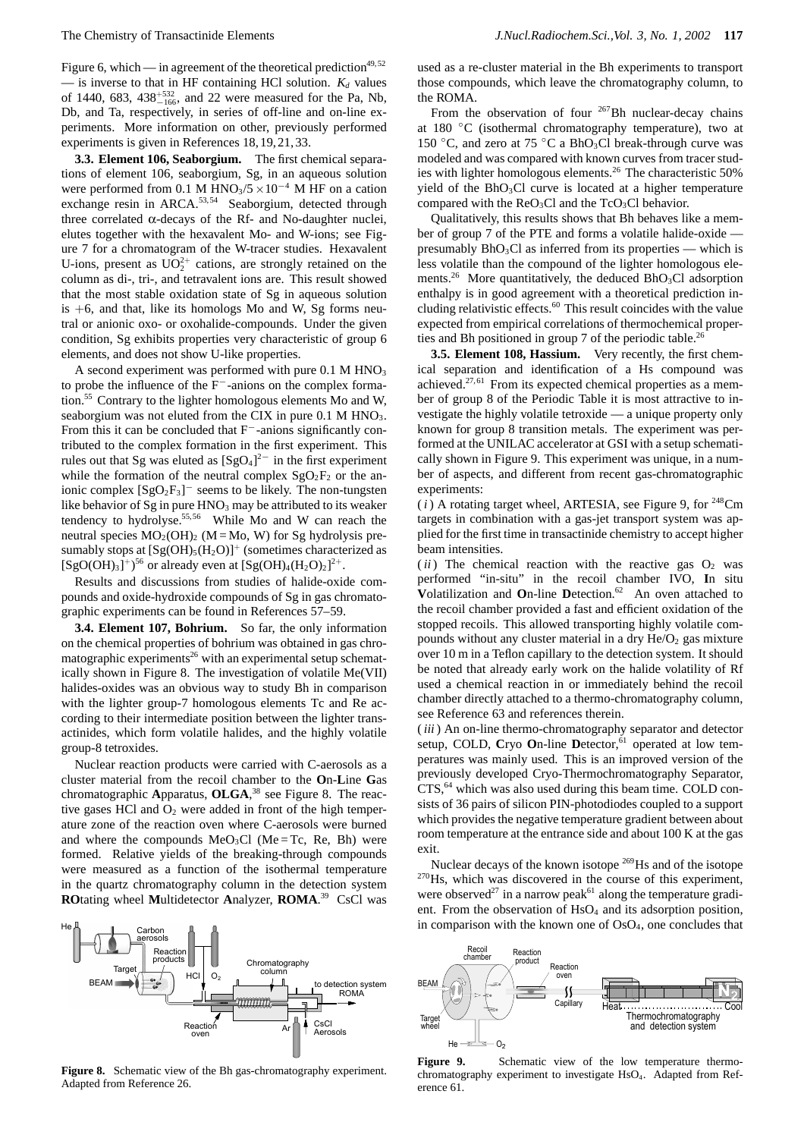Figure 6, which — in agreement of the theoretical prediction<sup>49,52</sup>  $\frac{d}{dx}$  is inverse to that in HF containing HCl solution.  $K_d$  values of 1440, 683, 438 $^{+532}_{-166}$ , and 22 were measured for the Pa, Nb, Db, and Ta, respectively, in series of off-line and on-line experiments. More information on other, previously performed experiments is given in References 18,19,21,33.

**3.3. Element 106, Seaborgium.** The first chemical separations of element 106, seaborgium, Sg, in an aqueous solution were performed from 0.1 M HNO<sub>3</sub>/5 × 10<sup>-4</sup> M HF on a cation exchange resin in ARCA.<sup>53,54</sup> Seaborgium, detected through three correlated α-decays of the Rf- and No-daughter nuclei, elutes together with the hexavalent Mo- and W-ions; see Figure 7 for a chromatogram of the W-tracer studies. Hexavalent U-ions, present as  $UO_2^{2+}$  cations, are strongly retained on the column as di-, tri-, and tetravalent ions are. This result showed that the most stable oxidation state of Sg in aqueous solution is  $+6$ , and that, like its homologs Mo and W, Sg forms neutral or anionic oxo- or oxohalide-compounds. Under the given condition, Sg exhibits properties very characteristic of group 6 elements, and does not show U-like properties.

A second experiment was performed with pure  $0.1$  M  $HNO<sub>3</sub>$ to probe the influence of the F−-anions on the complex formation.55 Contrary to the lighter homologous elements Mo and W, seaborgium was not eluted from the CIX in pure  $0.1$  M  $HNO<sub>3</sub>$ . From this it can be concluded that F−-anions significantly contributed to the complex formation in the first experiment. This rules out that Sg was eluted as  $[SgO<sub>4</sub>]<sup>2–</sup>$  in the first experiment while the formation of the neutral complex  $SgO<sub>2</sub>F<sub>2</sub>$  or the anionic complex  $[SgO_2F_3]^-$  seems to be likely. The non-tungsten like behavior of Sg in pure HNO<sub>3</sub> may be attributed to its weaker tendency to hydrolyse.55,56 While Mo and W can reach the neutral species  $MO_2(OH)_2$  (M = Mo, W) for Sg hydrolysis presumably stops at  $[Sg(OH)_5(H_2O)]^+$  (sometimes characterized as  $[SgO(OH)<sub>3</sub>]$ <sup>+</sup>)<sup>56</sup> or already even at  $[Sg(OH)<sub>4</sub>(H<sub>2</sub>O)<sub>2</sub>]$ <sup>2+</sup>.

Results and discussions from studies of halide-oxide compounds and oxide-hydroxide compounds of Sg in gas chromatographic experiments can be found in References 57–59.

**3.4. Element 107, Bohrium.** So far, the only information on the chemical properties of bohrium was obtained in gas chromatographic experiments<sup>26</sup> with an experimental setup schematically shown in Figure 8. The investigation of volatile Me(VII) halides-oxides was an obvious way to study Bh in comparison with the lighter group-7 homologous elements Tc and Re according to their intermediate position between the lighter transactinides, which form volatile halides, and the highly volatile group-8 tetroxides.

Nuclear reaction products were carried with C-aerosols as a cluster material from the recoil chamber to the **O**n-**L**ine **G**as chromatographic **A**pparatus, **OLGA**, <sup>38</sup> see Figure 8. The reactive gases HCl and  $O_2$  were added in front of the high temperature zone of the reaction oven where C-aerosols were burned and where the compounds  $MeO<sub>3</sub>Cl$  (Me = Tc, Re, Bh) were formed. Relative yields of the breaking-through compounds were measured as a function of the isothermal temperature in the quartz chromatography column in the detection system **RO**tating wheel **M**ultidetector **A**nalyzer, **ROMA**. <sup>39</sup> CsCl was



Figure 8. Schematic view of the Bh gas-chromatography experiment. Adapted from Reference 26.

used as a re-cluster material in the Bh experiments to transport those compounds, which leave the chromatography column, to the ROMA.

From the observation of four  $267$ Bh nuclear-decay chains at 180  $°C$  (isothermal chromatography temperature), two at 150 °C, and zero at 75 °C a BhO<sub>3</sub>Cl break-through curve was modeled and was compared with known curves from tracer studies with lighter homologous elements.26 The characteristic 50% yield of the BhO3Cl curve is located at a higher temperature compared with the  $\text{ReO}_3\text{Cl}$  and the  $\text{TeO}_3\text{Cl}$  behavior.

Qualitatively, this results shows that Bh behaves like a member of group 7 of the PTE and forms a volatile halide-oxide presumably  $BhO_3Cl$  as inferred from its properties — which is less volatile than the compound of the lighter homologous elements.<sup>26</sup> More quantitatively, the deduced BhO<sub>3</sub>Cl adsorption enthalpy is in good agreement with a theoretical prediction including relativistic effects.<sup>60</sup> This result coincides with the value expected from empirical correlations of thermochemical properties and Bh positioned in group 7 of the periodic table.<sup>26</sup>

**3.5. Element 108, Hassium.** Very recently, the first chemical separation and identification of a Hs compound was achieved.27,61 From its expected chemical properties as a member of group 8 of the Periodic Table it is most attractive to investigate the highly volatile tetroxide — a unique property only known for group 8 transition metals. The experiment was performed at the UNILAC accelerator at GSI with a setup schematically shown in Figure 9. This experiment was unique, in a number of aspects, and different from recent gas-chromatographic experiments:

 $(i)$  A rotating target wheel, ARTESIA, see Figure 9, for <sup>248</sup>Cm targets in combination with a gas-jet transport system was applied for the first time in transactinide chemistry to accept higher beam intensities.

 $(iii)$  The chemical reaction with the reactive gas  $O_2$  was performed "in-situ" in the recoil chamber IVO, **I**n situ **V**olatilization and **O**n-line **D**etection.62 An oven attached to the recoil chamber provided a fast and efficient oxidation of the stopped recoils. This allowed transporting highly volatile compounds without any cluster material in a dry  $He/O<sub>2</sub>$  gas mixture over 10 m in a Teflon capillary to the detection system. It should be noted that already early work on the halide volatility of Rf used a chemical reaction in or immediately behind the recoil chamber directly attached to a thermo-chromatography column, see Reference 63 and references therein.

(*iii* ) An on-line thermo-chromatography separator and detector setup, COLD, Cryo On-line Detector,<sup>61</sup> operated at low temperatures was mainly used. This is an improved version of the previously developed Cryo-Thermochromatography Separator,  $CTS<sub>1</sub><sup>64</sup>$  which was also used during this beam time. COLD consists of 36 pairs of silicon PIN-photodiodes coupled to a support which provides the negative temperature gradient between about room temperature at the entrance side and about 100 K at the gas exit.

Nuclear decays of the known isotope 269Hs and of the isotope <sup>270</sup>Hs, which was discovered in the course of this experiment, were observed<sup>27</sup> in a narrow peak<sup>61</sup> along the temperature gradient. From the observation of HsO<sub>4</sub> and its adsorption position, in comparison with the known one of OsO4, one concludes that



Figure 9. Schematic view of the low temperature thermochromatography experiment to investigate HsO4. Adapted from Reference 61.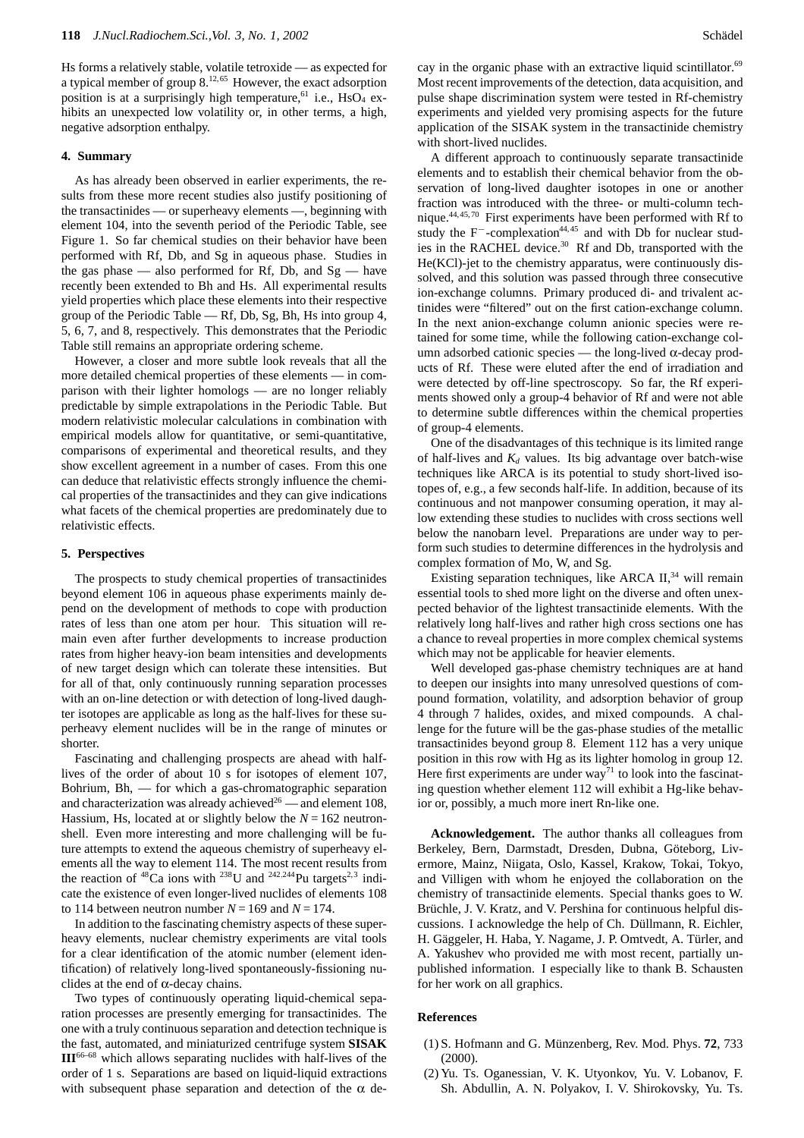Hs forms a relatively stable, volatile tetroxide — as expected for a typical member of group  $8^{12,65}$  However, the exact adsorption position is at a surprisingly high temperature,<sup>61</sup> i.e.,  $HsO<sub>4</sub>$  exhibits an unexpected low volatility or, in other terms, a high, negative adsorption enthalpy.

## **4. Summary**

As has already been observed in earlier experiments, the results from these more recent studies also justify positioning of the transactinides — or superheavy elements —, beginning with element 104, into the seventh period of the Periodic Table, see Figure 1. So far chemical studies on their behavior have been performed with Rf, Db, and Sg in aqueous phase. Studies in the gas phase  $-$  also performed for Rf, Db, and Sg  $-$  have recently been extended to Bh and Hs. All experimental results yield properties which place these elements into their respective group of the Periodic Table — Rf, Db, Sg, Bh, Hs into group 4, 5, 6, 7, and 8, respectively. This demonstrates that the Periodic Table still remains an appropriate ordering scheme.

However, a closer and more subtle look reveals that all the more detailed chemical properties of these elements — in comparison with their lighter homologs — are no longer reliably predictable by simple extrapolations in the Periodic Table. But modern relativistic molecular calculations in combination with empirical models allow for quantitative, or semi-quantitative, comparisons of experimental and theoretical results, and they show excellent agreement in a number of cases. From this one can deduce that relativistic effects strongly influence the chemical properties of the transactinides and they can give indications what facets of the chemical properties are predominately due to relativistic effects.

## **5. Perspectives**

The prospects to study chemical properties of transactinides beyond element 106 in aqueous phase experiments mainly depend on the development of methods to cope with production rates of less than one atom per hour. This situation will remain even after further developments to increase production rates from higher heavy-ion beam intensities and developments of new target design which can tolerate these intensities. But for all of that, only continuously running separation processes with an on-line detection or with detection of long-lived daughter isotopes are applicable as long as the half-lives for these superheavy element nuclides will be in the range of minutes or shorter.

Fascinating and challenging prospects are ahead with halflives of the order of about 10 s for isotopes of element 107, Bohrium, Bh, — for which a gas-chromatographic separation and characterization was already achieved<sup>26</sup> — and element 108, Hassium, Hs, located at or slightly below the  $N = 162$  neutronshell. Even more interesting and more challenging will be future attempts to extend the aqueous chemistry of superheavy elements all the way to element 114. The most recent results from the reaction of  $48\text{Ca}$  ions with  $238\text{U}$  and  $242,244\text{Pu}$  targets<sup>2,3</sup> indicate the existence of even longer-lived nuclides of elements 108 to 114 between neutron number  $N = 169$  and  $N = 174$ .

In addition to the fascinating chemistry aspects of these superheavy elements, nuclear chemistry experiments are vital tools for a clear identification of the atomic number (element identification) of relatively long-lived spontaneously-fissioning nuclides at the end of  $\alpha$ -decay chains.

Two types of continuously operating liquid-chemical separation processes are presently emerging for transactinides. The one with a truly continuous separation and detection technique is the fast, automated, and miniaturized centrifuge system **SISAK III**66–68 which allows separating nuclides with half-lives of the order of 1 s. Separations are based on liquid-liquid extractions with subsequent phase separation and detection of the  $\alpha$  decay in the organic phase with an extractive liquid scintillator. $69$ Most recent improvements of the detection, data acquisition, and pulse shape discrimination system were tested in Rf-chemistry experiments and yielded very promising aspects for the future application of the SISAK system in the transactinide chemistry with short-lived nuclides.

A different approach to continuously separate transactinide elements and to establish their chemical behavior from the observation of long-lived daughter isotopes in one or another fraction was introduced with the three- or multi-column technique.44,45,70 First experiments have been performed with Rf to study the F<sup>-</sup>-complexation<sup>44,45</sup> and with Db for nuclear studies in the RACHEL device.<sup>30</sup> Rf and Db, transported with the He(KCl)-jet to the chemistry apparatus, were continuously dissolved, and this solution was passed through three consecutive ion-exchange columns. Primary produced di- and trivalent actinides were "filtered" out on the first cation-exchange column. In the next anion-exchange column anionic species were retained for some time, while the following cation-exchange column adsorbed cationic species — the long-lived  $\alpha$ -decay products of Rf. These were eluted after the end of irradiation and were detected by off-line spectroscopy. So far, the Rf experiments showed only a group-4 behavior of Rf and were not able to determine subtle differences within the chemical properties of group-4 elements.

One of the disadvantages of this technique is its limited range of half-lives and  $K_d$  values. Its big advantage over batch-wise techniques like ARCA is its potential to study short-lived isotopes of, e.g., a few seconds half-life. In addition, because of its continuous and not manpower consuming operation, it may allow extending these studies to nuclides with cross sections well below the nanobarn level. Preparations are under way to perform such studies to determine differences in the hydrolysis and complex formation of Mo, W, and Sg.

Existing separation techniques, like ARCA  $II$ ,<sup>34</sup> will remain essential tools to shed more light on the diverse and often unexpected behavior of the lightest transactinide elements. With the relatively long half-lives and rather high cross sections one has a chance to reveal properties in more complex chemical systems which may not be applicable for heavier elements.

Well developed gas-phase chemistry techniques are at hand to deepen our insights into many unresolved questions of compound formation, volatility, and adsorption behavior of group 4 through 7 halides, oxides, and mixed compounds. A challenge for the future will be the gas-phase studies of the metallic transactinides beyond group 8. Element 112 has a very unique position in this row with Hg as its lighter homolog in group 12. Here first experiments are under way<sup>71</sup> to look into the fascinating question whether element 112 will exhibit a Hg-like behavior or, possibly, a much more inert Rn-like one.

**Acknowledgement.** The author thanks all colleagues from Berkeley, Bern, Darmstadt, Dresden, Dubna, Göteborg, Livermore, Mainz, Niigata, Oslo, Kassel, Krakow, Tokai, Tokyo, and Villigen with whom he enjoyed the collaboration on the chemistry of transactinide elements. Special thanks goes to W. Brüchle, J. V. Kratz, and V. Pershina for continuous helpful discussions. I acknowledge the help of Ch. Düllmann, R. Eichler, H. Gäggeler, H. Haba, Y. Nagame, J. P. Omtvedt, A. Türler, and A. Yakushev who provided me with most recent, partially unpublished information. I especially like to thank B. Schausten for her work on all graphics.

### **References**

- (1) S. Hofmann and G. M¨unzenberg, Rev. Mod. Phys. **72**, 733 (2000).
- (2) Yu. Ts. Oganessian, V. K. Utyonkov, Yu. V. Lobanov, F. Sh. Abdullin, A. N. Polyakov, I. V. Shirokovsky, Yu. Ts.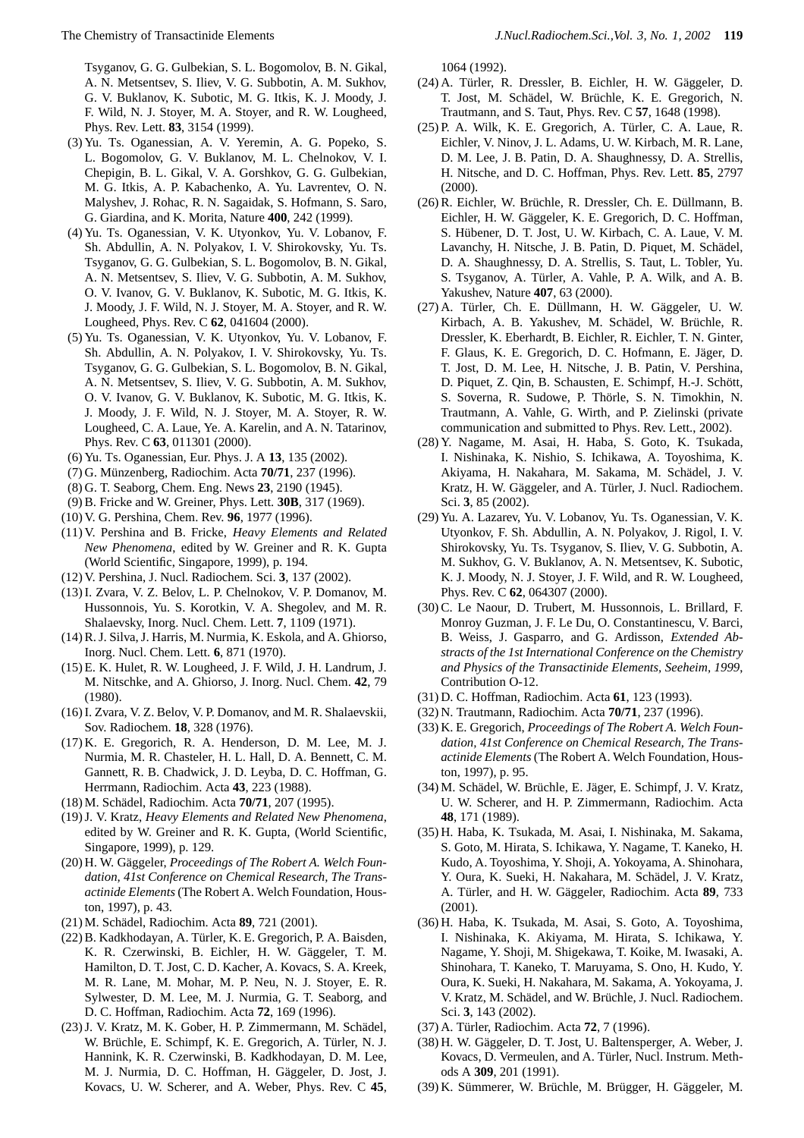Tsyganov, G. G. Gulbekian, S. L. Bogomolov, B. N. Gikal, A. N. Metsentsev, S. Iliev, V. G. Subbotin, A. M. Sukhov, G. V. Buklanov, K. Subotic, M. G. Itkis, K. J. Moody, J. F. Wild, N. J. Stoyer, M. A. Stoyer, and R. W. Lougheed, Phys. Rev. Lett. **83**, 3154 (1999).

- (3) Yu. Ts. Oganessian, A. V. Yeremin, A. G. Popeko, S. L. Bogomolov, G. V. Buklanov, M. L. Chelnokov, V. I. Chepigin, B. L. Gikal, V. A. Gorshkov, G. G. Gulbekian, M. G. Itkis, A. P. Kabachenko, A. Yu. Lavrentev, O. N. Malyshev, J. Rohac, R. N. Sagaidak, S. Hofmann, S. Saro, G. Giardina, and K. Morita, Nature **400**, 242 (1999).
- (4) Yu. Ts. Oganessian, V. K. Utyonkov, Yu. V. Lobanov, F. Sh. Abdullin, A. N. Polyakov, I. V. Shirokovsky, Yu. Ts. Tsyganov, G. G. Gulbekian, S. L. Bogomolov, B. N. Gikal, A. N. Metsentsev, S. Iliev, V. G. Subbotin, A. M. Sukhov, O. V. Ivanov, G. V. Buklanov, K. Subotic, M. G. Itkis, K. J. Moody, J. F. Wild, N. J. Stoyer, M. A. Stoyer, and R. W. Lougheed, Phys. Rev. C **62**, 041604 (2000).
- (5) Yu. Ts. Oganessian, V. K. Utyonkov, Yu. V. Lobanov, F. Sh. Abdullin, A. N. Polyakov, I. V. Shirokovsky, Yu. Ts. Tsyganov, G. G. Gulbekian, S. L. Bogomolov, B. N. Gikal, A. N. Metsentsev, S. Iliev, V. G. Subbotin, A. M. Sukhov, O. V. Ivanov, G. V. Buklanov, K. Subotic, M. G. Itkis, K. J. Moody, J. F. Wild, N. J. Stoyer, M. A. Stoyer, R. W. Lougheed, C. A. Laue, Ye. A. Karelin, and A. N. Tatarinov, Phys. Rev. C **63**, 011301 (2000).
- (6) Yu. Ts. Oganessian, Eur. Phys. J. A **13**, 135 (2002).
- (7) G. M¨unzenberg, Radiochim. Acta **70/71**, 237 (1996).
- (8) G. T. Seaborg, Chem. Eng. News **23**, 2190 (1945).
- (9) B. Fricke and W. Greiner, Phys. Lett. **30B**, 317 (1969).
- (10) V. G. Pershina, Chem. Rev. **96**, 1977 (1996).
- (11) V. Pershina and B. Fricke, *Heavy Elements and Related New Phenomena*, edited by W. Greiner and R. K. Gupta (World Scientific, Singapore, 1999), p. 194.
- (12) V. Pershina, J. Nucl. Radiochem. Sci. **3**, 137 (2002).
- (13) I. Zvara, V. Z. Belov, L. P. Chelnokov, V. P. Domanov, M. Hussonnois, Yu. S. Korotkin, V. A. Shegolev, and M. R. Shalaevsky, Inorg. Nucl. Chem. Lett. **7**, 1109 (1971).
- (14) R. J. Silva, J. Harris, M. Nurmia, K. Eskola, and A. Ghiorso, Inorg. Nucl. Chem. Lett. **6**, 871 (1970).
- (15) E. K. Hulet, R. W. Lougheed, J. F. Wild, J. H. Landrum, J. M. Nitschke, and A. Ghiorso, J. Inorg. Nucl. Chem. **42**, 79 (1980).
- (16) I. Zvara, V. Z. Belov, V. P. Domanov, and M. R. Shalaevskii, Sov. Radiochem. **18**, 328 (1976).
- (17) K. E. Gregorich, R. A. Henderson, D. M. Lee, M. J. Nurmia, M. R. Chasteler, H. L. Hall, D. A. Bennett, C. M. Gannett, R. B. Chadwick, J. D. Leyba, D. C. Hoffman, G. Herrmann, Radiochim. Acta **43**, 223 (1988).
- (18) M. Sch¨adel, Radiochim. Acta **70/71**, 207 (1995).
- (19) J. V. Kratz, *Heavy Elements and Related New Phenomena*, edited by W. Greiner and R. K. Gupta, (World Scientific, Singapore, 1999), p. 129.
- (20) H. W. Gäggeler, Proceedings of The Robert A. Welch Foun*dation, 41st Conference on Chemical Research, The Transactinide Elements*(The Robert A. Welch Foundation, Houston, 1997), p. 43.
- (21) M. Sch¨adel, Radiochim. Acta **89**, 721 (2001).
- (22) B. Kadkhodayan, A. Türler, K. E. Gregorich, P. A. Baisden, K. R. Czerwinski, B. Eichler, H. W. Gäggeler, T. M. Hamilton, D. T. Jost, C. D. Kacher, A. Kovacs, S. A. Kreek, M. R. Lane, M. Mohar, M. P. Neu, N. J. Stoyer, E. R. Sylwester, D. M. Lee, M. J. Nurmia, G. T. Seaborg, and D. C. Hoffman, Radiochim. Acta **72**, 169 (1996).
- (23) J. V. Kratz, M. K. Gober, H. P. Zimmermann, M. Schädel, W. Brüchle, E. Schimpf, K. E. Gregorich, A. Türler, N. J. Hannink, K. R. Czerwinski, B. Kadkhodayan, D. M. Lee, M. J. Nurmia, D. C. Hoffman, H. Gäggeler, D. Jost, J. Kovacs, U. W. Scherer, and A. Weber, Phys. Rev. C **45**,

1064 (1992).

- (24) A. Türler, R. Dressler, B. Eichler, H. W. Gäggeler, D. T. Jost, M. Schädel, W. Brüchle, K. E. Gregorich, N. Trautmann, and S. Taut, Phys. Rev. C **57**, 1648 (1998).
- (25) P. A. Wilk, K. E. Gregorich, A. Türler, C. A. Laue, R. Eichler, V. Ninov, J. L. Adams, U. W. Kirbach, M. R. Lane, D. M. Lee, J. B. Patin, D. A. Shaughnessy, D. A. Strellis, H. Nitsche, and D. C. Hoffman, Phys. Rev. Lett. **85**, 2797 (2000).
- (26) R. Eichler, W. Brüchle, R. Dressler, Ch. E. Düllmann, B. Eichler, H. W. Gäggeler, K. E. Gregorich, D. C. Hoffman, S. Hübener, D. T. Jost, U. W. Kirbach, C. A. Laue, V. M. Lavanchy, H. Nitsche, J. B. Patin, D. Piquet, M. Schädel, D. A. Shaughnessy, D. A. Strellis, S. Taut, L. Tobler, Yu. S. Tsyganov, A. Türler, A. Vahle, P. A. Wilk, and A. B. Yakushev, Nature **407**, 63 (2000).
- (27) A. Türler, Ch. E. Düllmann, H. W. Gäggeler, U. W. Kirbach, A. B. Yakushev, M. Schädel, W. Brüchle, R. Dressler, K. Eberhardt, B. Eichler, R. Eichler, T. N. Ginter, F. Glaus, K. E. Gregorich, D. C. Hofmann, E. Jäger, D. T. Jost, D. M. Lee, H. Nitsche, J. B. Patin, V. Pershina, D. Piquet, Z. Qin, B. Schausten, E. Schimpf, H.-J. Schött, S. Soverna, R. Sudowe, P. Thörle, S. N. Timokhin, N. Trautmann, A. Vahle, G. Wirth, and P. Zielinski (private communication and submitted to Phys. Rev. Lett., 2002).
- (28) Y. Nagame, M. Asai, H. Haba, S. Goto, K. Tsukada, I. Nishinaka, K. Nishio, S. Ichikawa, A. Toyoshima, K. Akiyama, H. Nakahara, M. Sakama, M. Schädel, J. V. Kratz, H. W. Gäggeler, and A. Türler, J. Nucl. Radiochem. Sci. **3**, 85 (2002).
- (29) Yu. A. Lazarev, Yu. V. Lobanov, Yu. Ts. Oganessian, V. K. Utyonkov, F. Sh. Abdullin, A. N. Polyakov, J. Rigol, I. V. Shirokovsky, Yu. Ts. Tsyganov, S. Iliev, V. G. Subbotin, A. M. Sukhov, G. V. Buklanov, A. N. Metsentsev, K. Subotic, K. J. Moody, N. J. Stoyer, J. F. Wild, and R. W. Lougheed, Phys. Rev. C **62**, 064307 (2000).
- (30) C. Le Naour, D. Trubert, M. Hussonnois, L. Brillard, F. Monroy Guzman, J. F. Le Du, O. Constantinescu, V. Barci, B. Weiss, J. Gasparro, and G. Ardisson, *Extended Abstracts of the 1st International Conference on the Chemistry and Physics of the Transactinide Elements, Seeheim, 1999*, Contribution O-12.
- (31) D. C. Hoffman, Radiochim. Acta **61**, 123 (1993).
- (32) N. Trautmann, Radiochim. Acta **70/71**, 237 (1996).
- (33) K. E. Gregorich, *Proceedings of The Robert A. Welch Foundation, 41st Conference on Chemical Research, The Transactinide Elements* (The Robert A. Welch Foundation, Houston, 1997), p. 95.
- (34) M. Schädel, W. Brüchle, E. Jäger, E. Schimpf, J. V. Kratz, U. W. Scherer, and H. P. Zimmermann, Radiochim. Acta **48**, 171 (1989).
- (35) H. Haba, K. Tsukada, M. Asai, I. Nishinaka, M. Sakama, S. Goto, M. Hirata, S. Ichikawa, Y. Nagame, T. Kaneko, H. Kudo, A. Toyoshima, Y. Shoji, A. Yokoyama, A. Shinohara, Y. Oura, K. Sueki, H. Nakahara, M. Schädel, J. V. Kratz, A. Türler, and H. W. Gäggeler, Radiochim. Acta 89, 733  $(2001)$ .
- (36) H. Haba, K. Tsukada, M. Asai, S. Goto, A. Toyoshima, I. Nishinaka, K. Akiyama, M. Hirata, S. Ichikawa, Y. Nagame, Y. Shoji, M. Shigekawa, T. Koike, M. Iwasaki, A. Shinohara, T. Kaneko, T. Maruyama, S. Ono, H. Kudo, Y. Oura, K. Sueki, H. Nakahara, M. Sakama, A. Yokoyama, J. V. Kratz, M. Schädel, and W. Brüchle, J. Nucl. Radiochem. Sci. **3**, 143 (2002).
- (37) A. Türler, Radiochim. Acta **72**, 7 (1996).
- (38) H. W. Gäggeler, D. T. Jost, U. Baltensperger, A. Weber, J. Kovacs, D. Vermeulen, and A. Türler, Nucl. Instrum. Methods A **309**, 201 (1991).
- (39) K. Sümmerer, W. Brüchle, M. Brügger, H. Gäggeler, M.